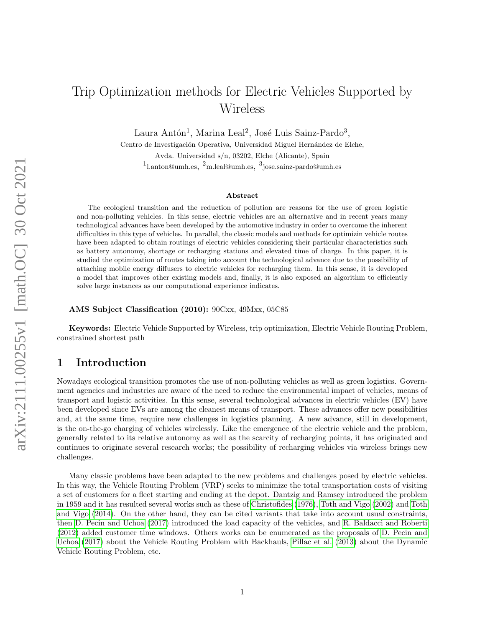# Trip Optimization methods for Electric Vehicles Supported by Wireless

Laura Antón<sup>1</sup>, Marina Leal<sup>2</sup>, José Luis Sainz-Pardo<sup>3</sup>,

Centro de Investigación Operativa, Universidad Miguel Hernández de Elche, Avda. Universidad s/n, 03202, Elche (Alicante), Spain <sup>1</sup>l.anton@umh.es, <sup>2</sup>m.leal@umh.es, <sup>3</sup>jose.sainz-pardo@umh.es

### Abstract

The ecological transition and the reduction of pollution are reasons for the use of green logistic and non-polluting vehicles. In this sense, electric vehicles are an alternative and in recent years many technological advances have been developed by the automotive industry in order to overcome the inherent difficulties in this type of vehicles. In parallel, the classic models and methods for optimizin vehicle routes have been adapted to obtain routings of electric vehicles considering their particular characteristics such as battery autonomy, shortage or recharging stations and elevated time of charge. In this paper, it is studied the optimization of routes taking into account the technological advance due to the possibility of attaching mobile energy diffusers to electric vehicles for recharging them. In this sense, it is developed a model that improves other existing models and, finally, it is also exposed an algorithm to efficiently solve large instances as our computational experience indicates.

AMS Subject Classification (2010): 90Cxx, 49Mxx, 05C85

Keywords: Electric Vehicle Supported by Wireless, trip optimization, Electric Vehicle Routing Problem, constrained shortest path

### 1 Introduction

Nowadays ecological transition promotes the use of non-polluting vehicles as well as green logistics. Government agencies and industries are aware of the need to reduce the environmental impact of vehicles, means of transport and logistic activities. In this sense, several technological advances in electric vehicles (EV) have been developed since EVs are among the cleanest means of transport. These advances offer new possibilities and, at the same time, require new challenges in logistics planning. A new advance, still in development, is the on-the-go charging of vehicles wirelessly. Like the emergence of the electric vehicle and the problem, generally related to its relative autonomy as well as the scarcity of recharging points, it has originated and continues to originate several research works; the possibility of recharging vehicles via wireless brings new challenges.

Many classic problems have been adapted to the new problems and challenges posed by electric vehicles. In this way, the Vehicle Routing Problem (VRP) seeks to minimize the total transportation costs of visiting a set of customers for a fleet starting and ending at the depot. Dantzig and Ramsey introduced the problem in 1959 and it has resulted several works such as these of [Christofides](#page-10-0) [\(1976\)](#page-10-0), [Toth and Vigo](#page-10-1) [\(2002\)](#page-10-1) and [Toth](#page-10-2) [and Vigo](#page-10-2) [\(2014\)](#page-10-2). On the other hand, they can be cited variants that take into account usual constraints, then [D. Pecin and Uchoa](#page-10-3) [\(2017\)](#page-10-3) introduced the load capacity of the vehicles, and [R. Baldacci and Roberti](#page-10-4) [\(2012\)](#page-10-4) added customer time windows. Others works can be enumerated as the proposals of [D. Pecin and](#page-10-3) [Uchoa](#page-10-3) [\(2017\)](#page-10-3) about the Vehicle Routing Problem with Backhauls, [Pillac et al.](#page-10-5) [\(2013\)](#page-10-5) about the Dynamic Vehicle Routing Problem, etc.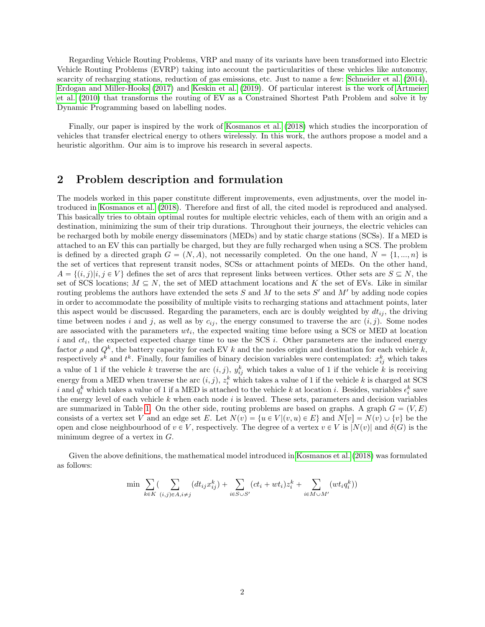Regarding Vehicle Routing Problems, VRP and many of its variants have been transformed into Electric Vehicle Routing Problems (EVRP) taking into account the particularities of these vehicles like autonomy, scarcity of recharging stations, reduction of gas emissions, etc. Just to name a few: [Schneider et al.](#page-10-6) [\(2014\)](#page-10-6), [Erdogan and Miller-Hooks](#page-10-7) [\(2017\)](#page-10-7) and [Keskin et al.](#page-10-8) [\(2019\)](#page-10-8). Of particular interest is the work of [Artmeier](#page-10-9) [et al.](#page-10-9) [\(2010\)](#page-10-9) that transforms the routing of EV as a Constrained Shortest Path Problem and solve it by Dynamic Programming based on labelling nodes.

Finally, our paper is inspired by the work of [Kosmanos et al.](#page-10-10) [\(2018\)](#page-10-10) which studies the incorporation of vehicles that transfer electrical energy to others wirelessly. In this work, the authors propose a model and a heuristic algorithm. Our aim is to improve his research in several aspects.

### 2 Problem description and formulation

The models worked in this paper constitute different improvements, even adjustments, over the model introduced in [Kosmanos et al.](#page-10-10) [\(2018\)](#page-10-10). Therefore and first of all, the cited model is reproduced and analysed. This basically tries to obtain optimal routes for multiple electric vehicles, each of them with an origin and a destination, minimizing the sum of their trip durations. Throughout their journeys, the electric vehicles can be recharged both by mobile energy disseminators (MEDs) and by static charge stations (SCSs). If a MED is attached to an EV this can partially be charged, but they are fully recharged when using a SCS. The problem is defined by a directed graph  $G = (N, A)$ , not necessarily completed. On the one hand,  $N = \{1, ..., n\}$  is the set of vertices that represent transit nodes, SCSs or attachment points of MEDs. On the other hand,  $A = \{(i, j)|i, j \in V\}$  defines the set of arcs that represent links between vertices. Other sets are  $S \subseteq N$ , the set of SCS locations;  $M \subseteq N$ , the set of MED attachment locations and K the set of EVs. Like in similar routing problems the authors have extended the sets  $S$  and  $M$  to the sets  $S'$  and  $M'$  by adding node copies in order to accommodate the possibility of multiple visits to recharging stations and attachment points, later this aspect would be discussed. Regarding the parameters, each arc is doubly weighted by  $dt_{ij}$ , the driving time between nodes i and j, as well as by  $c_{ij}$ , the energy consumed to traverse the arc  $(i, j)$ . Some nodes are associated with the parameters  $wt_i$ , the expected waiting time before using a SCS or MED at location i and  $ct_i$ , the expected expected charge time to use the SCS i. Other parameters are the induced energy factor  $\rho$  and  $Q^k$ , the battery capacity for each EV k and the nodes origin and destination for each vehicle k, respectively  $s^k$  and  $t^k$ . Finally, four families of binary decision variables were contemplated:  $x_{ij}^k$  which takes a value of 1 if the vehicle k traverse the arc  $(i, j)$ ,  $y_{ij}^k$  which takes a value of 1 if the vehicle k is receiving energy from a MED when traverse the arc  $(i, j)$ ,  $z_i^k$  which takes a value of 1 if the vehicle k is charged at SCS i and  $q_i^k$  which takes a value of 1 if a MED is attached to the vehicle k at location i. Besides, variables  $\epsilon_i^k$  save the energy level of each vehicle  $k$  when each node  $i$  is leaved. These sets, parameters and decision variables are summarized in Table [1.](#page-5-0) On the other side, routing problems are based on graphs. A graph  $G = (V, E)$ consists of a vertex set V and an edge set E. Let  $N(v) = \{u \in V | (v, u) \in E\}$  and  $N[v] = N(v) \cup \{v\}$  be the open and close neighbourhood of  $v \in V$ , respectively. The degree of a vertex  $v \in V$  is  $|N(v)|$  and  $\delta(G)$  is the minimum degree of a vertex in G.

Given the above definitions, the mathematical model introduced in [Kosmanos et al.](#page-10-10) [\(2018\)](#page-10-10) was formulated as follows:

$$
\min \sum_{k \in K} \left( \sum_{(i,j) \in A, i \neq j} (dt_{ij} x_{ij}^k) + \sum_{i \in S \cup S'} (ct_i + wt_i) z_i^k + \sum_{i \in M \cup M'} (wt_i q_i^k) \right)
$$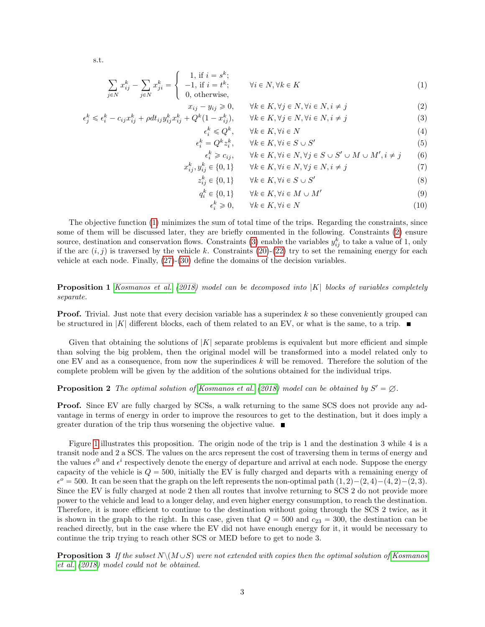s.t.

<span id="page-2-0"></span>
$$
\sum_{j \in N} x_{ij}^k - \sum_{j \in N} x_{ji}^k = \begin{cases} 1, \text{ if } i = s^k; \\ -1, \text{ if } i = t^k; \\ 0, \text{ otherwise,} \end{cases} \forall i \in N, \forall k \in K
$$
 (1)

$$
\forall k \in K, \forall j \in N, \forall i \in N, i \neq j \tag{2}
$$

$$
\epsilon_j^k \leq \epsilon_i^k - c_{ij}x_{ij}^k + \rho dt_{ij}y_{ij}^k x_{ij}^k + Q^k(1 - x_{ij}^k), \qquad \forall k \in K, \forall j \in N, \forall i \in N, i \neq j
$$
\n(3)

 $x_{ij} - y_{ij} \geqslant 0,$ 

 $\epsilon$ 

$$
\epsilon_i^k \leq Q^k, \qquad \forall k \in K, \forall i \in N
$$
  
\n
$$
-Q^k \circ^k, \qquad \forall k \in K, \forall i \in S, \forall j \in N'
$$
\n(4)

$$
\epsilon_i^k = Q^k z_i^k, \qquad \forall k \in K, \forall i \in S \cup S' \tag{5}
$$

$$
\epsilon_i^k \ge c_{ij}, \qquad \forall k \in K, \forall i \in N, \forall j \in S \cup S' \cup M \cup M', i \ne j \qquad (6)
$$
  

$$
x_{ij}^k, y_{ij}^k \in \{0, 1\} \qquad \forall k \in K, \forall i \in N, \forall j \in N, i \ne j \qquad (7)
$$

$$
z_{ij}^k \in \{0, 1\} \qquad \forall k \in K, \forall i \in S \cup S' \tag{8}
$$

$$
q_i^k \in \{0, 1\} \qquad \forall k \in K, \forall i \in M \cup M' \tag{9}
$$

$$
k_i^k \geqslant 0, \qquad \forall k \in K, \forall i \in N \tag{10}
$$

The objective function [\(1\)](#page-2-0) minimizes the sum of total time of the trips. Regarding the constraints, since some of them will be discussed later, they are briefly commented in the following. Constraints [\(2\)](#page-2-0) ensure source, destination and conservation flows. Constraints [\(3\)](#page-2-0) enable the variables  $y_{ij}^k$  to take a value of 1, only if the arc  $(i, j)$  is traversed by the vehicle k. Constraints [\(20\)](#page-4-0)-[\(22\)](#page-4-0) try to set the remaining energy for each vehicle at each node. Finally, [\(27\)](#page-4-0)-[\(30\)](#page-4-0) define the domains of the decision variables.

**Proposition 1** [Kosmanos et al.](#page-10-10) [\(2018\)](#page-10-10) model can be decomposed into  $|K|$  blocks of variables completely separate.

**Proof.** Trivial. Just note that every decision variable has a superindex  $k$  so these conveniently grouped can be structured in |K| different blocks, each of them related to an EV, or what is the same, to a trip.  $\blacksquare$ 

Given that obtaining the solutions of  $|K|$  separate problems is equivalent but more efficient and simple than solving the big problem, then the original model will be transformed into a model related only to one EV and as a consequence, from now the superindices k will be removed. Therefore the solution of the complete problem will be given by the addition of the solutions obtained for the individual trips.

**Proposition 2** The optimal solution of [Kosmanos et al.](#page-10-10) [\(2018\)](#page-10-10) model can be obtained by  $S' = \emptyset$ .

Proof. Since EV are fully charged by SCSs, a walk returning to the same SCS does not provide any advantage in terms of energy in order to improve the resources to get to the destination, but it does imply a greater duration of the trip thus worsening the objective value.  $\blacksquare$ 

Figure [1](#page-3-0) illustrates this proposition. The origin node of the trip is 1 and the destination 3 while 4 is a transit node and 2 a SCS. The values on the arcs represent the cost of traversing them in terms of energy and the values  $\epsilon^0$  and  $\epsilon^i$  respectively denote the energy of departure and arrival at each node. Suppose the energy capacity of the vehicle is  $Q = 500$ , initially the EV is fully charged and departs with a remaining energy of  $\epsilon^o = 500$ . It can be seen that the graph on the left represents the non-optimal path  $(1, 2) - (2, 4) - (4, 2) - (2, 3)$ . Since the EV is fully charged at node 2 then all routes that involve returning to SCS 2 do not provide more power to the vehicle and lead to a longer delay, and even higher energy consumption, to reach the destination. Therefore, it is more efficient to continue to the destination without going through the SCS 2 twice, as it is shown in the graph to the right. In this case, given that  $Q = 500$  and  $c_{23} = 300$ , the destination can be reached directly, but in the case where the EV did not have enough energy for it, it would be necessary to continue the trip trying to reach other SCS or MED before to get to node 3.

**Proposition 3** If the subset  $N\setminus (M\cup S)$  were not extended with copies then the optimal solution of [Kosmanos](#page-10-10) [et al.](#page-10-10) [\(2018\)](#page-10-10) model could not be obtained.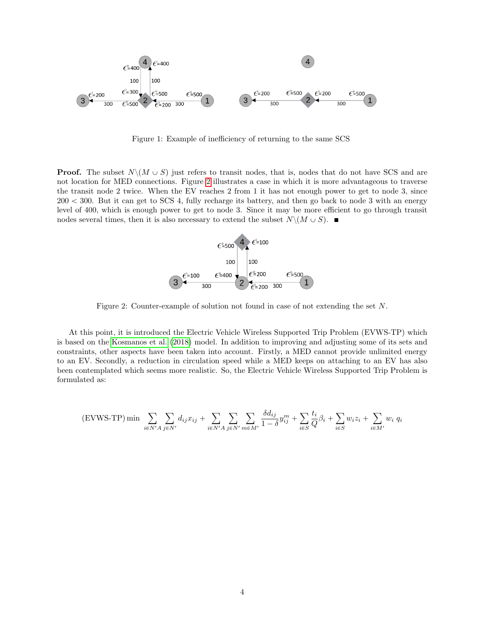

<span id="page-3-0"></span>Figure 1: Example of inefficiency of returning to the same SCS

**Proof.** The subset  $N \setminus (M \cup S)$  just refers to transit nodes, that is, nodes that do not have SCS and are not location for MED connections. Figure [2](#page-3-1) illustrates a case in which it is more advantageous to traverse the transit node 2 twice. When the EV reaches 2 from 1 it has not enough power to get to node 3, since  $200 < 300$ . But it can get to SCS 4, fully recharge its battery, and then go back to node 3 with an energy level of 400, which is enough power to get to node 3. Since it may be more efficient to go through transit nodes several times, then it is also necessary to extend the subset  $N\setminus (M\cup S)$ .



<span id="page-3-1"></span>Figure 2: Counter-example of solution not found in case of not extending the set N.

At this point, it is introduced the Electric Vehicle Wireless Supported Trip Problem (EVWS-TP) which is based on the [Kosmanos et al.](#page-10-10) [\(2018\)](#page-10-10) model. In addition to improving and adjusting some of its sets and constraints, other aspects have been taken into account. Firstly, a MED cannot provide unlimited energy to an EV. Secondly, a reduction in circulation speed while a MED keeps on attaching to an EV has also been contemplated which seems more realistic. So, the Electric Vehicle Wireless Supported Trip Problem is formulated as:

$$
(\text{EVWS-TP}) \min \sum_{i \in N'A} \sum_{j \in N'} d_{ij} x_{ij} + \sum_{i \in N'A} \sum_{j \in N'} \sum_{m \in M'} \frac{\delta d_{ij}}{1 - \delta} y_{ij}^m + \sum_{i \in S} \frac{t_i}{Q} \beta_i + \sum_{i \in S} w_i z_i + \sum_{i \in M'} w_i q_i
$$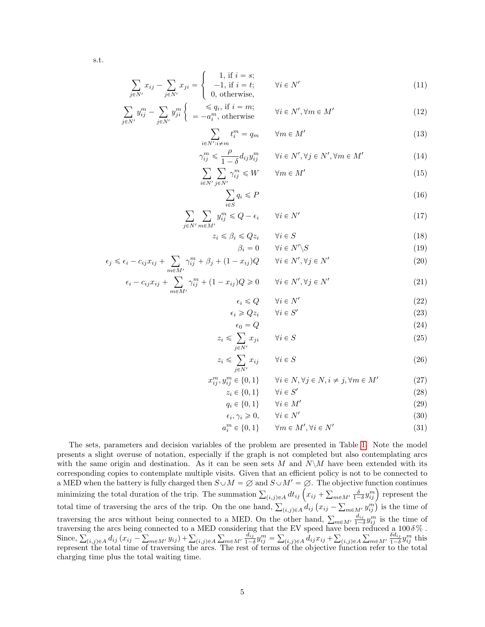$$
\, \mathrm{s.t.} \,
$$

<span id="page-4-0"></span>
$$
\sum_{j \in N'} x_{ij} - \sum_{j \in N'} x_{ji} = \begin{cases} 1, \text{ if } i = s; \\ -1, \text{ if } i = t; \\ 0, \text{ otherwise,} \end{cases} \forall i \in N' \tag{11}
$$

$$
\sum_{j \in N'} y_{ij}^m - \sum_{j \in N'} y_{ji}^m \begin{cases} \le q_i, \text{ if } i = m; \\ = -a_i^m, \text{ otherwise} \end{cases} \qquad \forall i \in N', \forall m \in M' \tag{12}
$$

 $i\!\in\!N$ 

 $\overline{z}$ 

$$
\sum_{i' : i \neq m} t_i^m = q_m \qquad \forall m \in M' \tag{13}
$$

$$
\gamma_{ij}^{m} \leq \frac{\rho}{1-\delta} d_{ij} y_{ij}^{m} \qquad \forall i \in N', \forall j \in N', \forall m \in M'
$$
\n(14)

$$
\sum_{i \in N'} \sum_{j \in N'} \gamma_{ij}^m \le W \qquad \forall m \in M' \tag{15}
$$

$$
\sum_{i \in S} q_i \leqslant P \tag{16}
$$

$$
\sum_{j \in N'} \sum_{m \in M'} y_{ij}^m \le Q - \epsilon_i \qquad \forall i \in N' \tag{17}
$$

$$
z_i \le \beta_i \le Qz_i \qquad \forall i \in S \tag{18}
$$

$$
\beta_i = 0 \qquad \forall i \in N' \backslash S \tag{19}
$$

$$
\epsilon_j \leq \epsilon_i - c_{ij} x_{ij} + \sum_{m \in M'} \gamma_{ij}^m + \beta_j + (1 - x_{ij})Q \qquad \forall i \in N', \forall j \in N'
$$
 (20)

$$
\epsilon_i - c_{ij} x_{ij} + \sum_{m \in M'} \gamma_{ij}^m + (1 - x_{ij})Q \ge 0 \qquad \forall i \in N', \forall j \in N'
$$
\n(21)

$$
\epsilon_i \le Q \qquad \forall i \in N' \tag{22}
$$

$$
\epsilon_i \ge Qz_i \qquad \forall i \in S' \tag{23}
$$
  

$$
\epsilon_0 = Q \tag{24}
$$

$$
i \leqslant \sum_{j \in N'}^{\infty} x_{ji} \qquad \forall i \in S \tag{25}
$$

$$
z_i \leqslant \sum_{j \in N'} x_{ij} \qquad \forall i \in S \tag{26}
$$

$$
x_{ij}^m, y_{ij}^m \in \{0, 1\} \qquad \forall i \in N, \forall j \in N, i \neq j, \forall m \in M'
$$
 (27)

$$
z_i \in \{0, 1\} \qquad \forall i \in S' \tag{28}
$$
\n
$$
z_i \in \{0, 1\} \qquad \forall i \in M' \tag{29}
$$

$$
q_i \in \{0, 1\} \qquad \forall i \in M'
$$
\n
$$
\{29\}
$$
\n
$$
\{29\}
$$
\n
$$
\{30\}
$$
\n
$$
(30)
$$

$$
\epsilon_i, \gamma_i \ge 0, \qquad \forall i \in N' \tag{30}
$$

$$
a_i^m \in \{0, 1\} \qquad \forall m \in M', \forall i \in N' \tag{31}
$$

$$
u_i^m \in \{0, 1\} \qquad \forall m \in M', \forall i \in N' \tag{31}
$$

The sets, parameters and decision variables of the problem are presented in Table [1.](#page-5-0) Note the model presents a slight overuse of notation, especially if the graph is not completed but also contemplating arcs with the same origin and destination. As it can be seen sets M and  $N\setminus M$  have been extended with its corresponding copies to contemplate multiple visits. Given that an efficient policy is not to be connected to a MED when the battery is fully charged then  $S\cup M = \emptyset$  and  $S\cup M' = \emptyset$ . The objective function continues a MED when the battery is fully charged then  $S \cup M = \varnothing$  and  $S \cup M' = \varnothing$ . The summation  $\sum_{(i,j)\in A} dt_{ij}$   $\left(x_{ij} +$  $\ddot{\text{e}}$ a MED when the battery is fully charged then  $S \cup M = \emptyset$  and  $S \cup M' = \emptyset$ . The objective function continues<br>minimizing the total duration of the trip. The summation  $\sum_{(i,j)\in A} dt_{ij} \left(x_{ij} + \sum_{m\in M'} \frac{\delta}{1-\delta} y_{ij}^m\right)$  represen  $\in \Lambda$  $\frac{d}{dx} \frac{d}{dx} \left( \frac{d}{dx} \right)^m$  is the time of traversing the arcs without being connected to a MED. On the other hand,  $\sum_{m \in M'} \frac{\Delta_{im}}{1 - \Delta_{im}}$  $\frac{d_{ij}}{1-\delta}y_{ij}^m$  is the time of traversing the arcs being connected to a MED considering that the EV speed have been reduced a 100  $\delta\%$ .<br>Since,  $\sum_{(i,j)\in A} d_{ij} (x_{ij} - \sum_{m\in M'} y_{ij}) + \sum_{(i,j)\in A} \sum_{m\in M'} \frac{d_{ij}}{1-\delta} y_{ij}^m = \sum_{(i,j)\in A} d_{ij} x_{ij} + \sum_{(i,j)\in A} \sum_{m\in M$ connected to a MED<br>  $\sum_{m \in M'} y_{ij}$  +  $\sum_{(i,j) \in A}$  $\frac{c}{c}$  $m \in M'$   $\frac{d_{ij}}{1-\alpha}$  $\frac{d_{ij}}{1-\delta}y_{ij}^m =$ <sup>th</sup>  $(i,j)\in A$  dij $x_{ij}$  + ř  $(i,j)\in A$ re  $m \in M'$ ,  $\frac{\delta d_{ij}}{1-\delta}$  $\frac{\delta d_{ij}}{1-\delta}y_{ij}^m$  this represent the total time of traversing the arcs. The rest of terms of the objective function refer to the total charging time plus the total waiting time.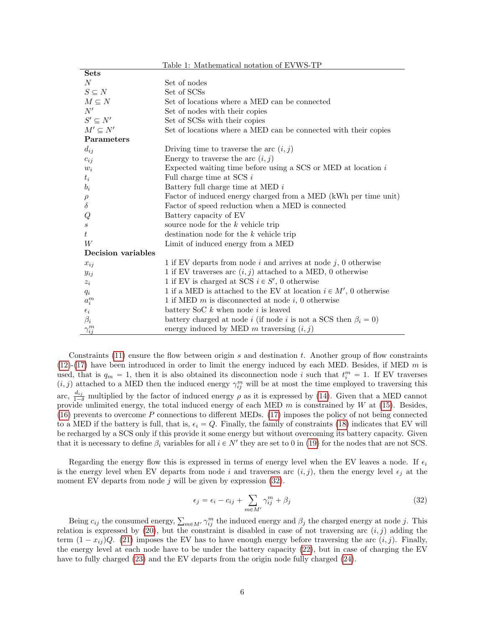<span id="page-5-0"></span>

| Table 1: Mathematical notation of EVWS-TP |                                                                                      |  |  |  |  |
|-------------------------------------------|--------------------------------------------------------------------------------------|--|--|--|--|
| <b>Sets</b>                               |                                                                                      |  |  |  |  |
| N                                         | Set of nodes                                                                         |  |  |  |  |
| $S \subseteq N$                           | Set of SCSs                                                                          |  |  |  |  |
| $M \subseteq N$                           | Set of locations where a MED can be connected                                        |  |  |  |  |
| N'                                        | Set of nodes with their copies                                                       |  |  |  |  |
| $S' \subseteq N'$                         | Set of SCSs with their copies                                                        |  |  |  |  |
| $M' \subseteq N'$                         | Set of locations where a MED can be connected with their copies                      |  |  |  |  |
| Parameters                                |                                                                                      |  |  |  |  |
| $d_{ij}$                                  | Driving time to traverse the arc $(i, j)$                                            |  |  |  |  |
| $c_{ij}$                                  | Energy to traverse the arc $(i, j)$                                                  |  |  |  |  |
| $w_i$                                     | Expected waiting time before using a SCS or MED at location $i$                      |  |  |  |  |
| $t_i$                                     | Full charge time at SCS $i$                                                          |  |  |  |  |
| $b_i$                                     | Battery full charge time at MED $i$                                                  |  |  |  |  |
|                                           | Factor of induced energy charged from a MED (kWh per time unit)                      |  |  |  |  |
| $\frac{\rho}{\delta}$                     | Factor of speed reduction when a MED is connected                                    |  |  |  |  |
| Q                                         | Battery capacity of EV                                                               |  |  |  |  |
| $\boldsymbol{s}$                          | source node for the $k$ vehicle trip                                                 |  |  |  |  |
| t                                         | destination node for the $k$ vehicle trip                                            |  |  |  |  |
| W                                         | Limit of induced energy from a MED                                                   |  |  |  |  |
| Decision variables                        |                                                                                      |  |  |  |  |
| $x_{ij}$                                  | 1 if EV departs from node $i$ and arrives at node $j$ , 0 otherwise                  |  |  |  |  |
| $y_{ij}$                                  | 1 if EV traverses arc $(i, j)$ attached to a MED, 0 otherwise                        |  |  |  |  |
| $z_i$                                     | 1 if EV is charged at SCS $i \in S'$ , 0 otherwise                                   |  |  |  |  |
| $q_i$                                     | 1 if a MED is attached to the EV at location $i \in M'$ , 0 otherwise                |  |  |  |  |
| $a_i^m$                                   | 1 if MED $m$ is disconnected at node $i$ , 0 otherwise                               |  |  |  |  |
| $\epsilon_i$                              | battery SoC $k$ when node $i$ is leaved                                              |  |  |  |  |
| $\beta_i$                                 | battery charged at node <i>i</i> (if node <i>i</i> is not a SCS then $\beta_i = 0$ ) |  |  |  |  |
| $\gamma_{ij}^m$                           | energy induced by MED m traversing $(i, j)$                                          |  |  |  |  |

Constraints  $(11)$  ensure the flow between origin s and destination t. Another group of flow constraints  $(12)-(17)$  $(12)-(17)$  $(12)-(17)$  have been introduced in order to limit the energy induced by each MED. Besides, if MED m is used, that is  $q_m = 1$ , then it is also obtained its disconnection node i such that  $t_i^m = 1$ . If EV traverses  $(i, j)$  attached to a MED then the induced energy  $\gamma_{ij}^m$  will be at most the time employed to traversing this arc,  $\frac{d_{ij}}{1-\delta}$  multiplied by the factor of induced energy  $\rho$  as it is expressed by [\(14\)](#page-4-0). Given that a MED cannot provide unlimited energy, the total induced energy of each MED  $m$  is constrained by  $W$  at [\(15\)](#page-4-0). Besides, [\(16\)](#page-4-0) prevents to overcome P connections to different MEDs. [\(17\)](#page-4-0) imposes the policy of not being connected to a MED if the battery is full, that is,  $\epsilon_i = Q$ . Finally, the family of constraints [\(18\)](#page-4-0) indicates that EV will be recharged by a SCS only if this provide it some energy but without overcoming its battery capacity. Given that it is necessary to define  $\beta_i$  variables for all  $i \in N'$  they are set to 0 in [\(19\)](#page-4-0) for the nodes that are not SCS.

Regarding the energy flow this is expressed in terms of energy level when the EV leaves a node. If  $\epsilon_i$ is the energy level when EV departs from node i and traverses arc  $(i, j)$ , then the energy level  $\epsilon_j$  at the moment EV departs from node  $j$  will be given by expression  $(32)$ .

<span id="page-5-1"></span>
$$
\epsilon_j = \epsilon_i - c_{ij} + \sum_{m \in M'} \gamma_{ij}^m + \beta_j \tag{32}
$$

Being  $c_{ij}$  the consumed energy,  $\sum_{m \in M'} \gamma_{ij}^m$  the induced energy and  $\beta_j$  the charged energy at node j. This relation is expressed by [\(20\)](#page-4-0), but the constraint is disabled in case of not traversing arc  $(i, j)$  adding the term  $(1 - x_{ij})Q$ . [\(21\)](#page-4-0) imposes the EV has to have enough energy before traversing the arc  $(i, j)$ . Finally, the energy level at each node have to be under the battery capacity [\(22\)](#page-4-0), but in case of charging the EV have to fully charged [\(23\)](#page-4-0) and the EV departs from the origin node fully charged [\(24\)](#page-4-0).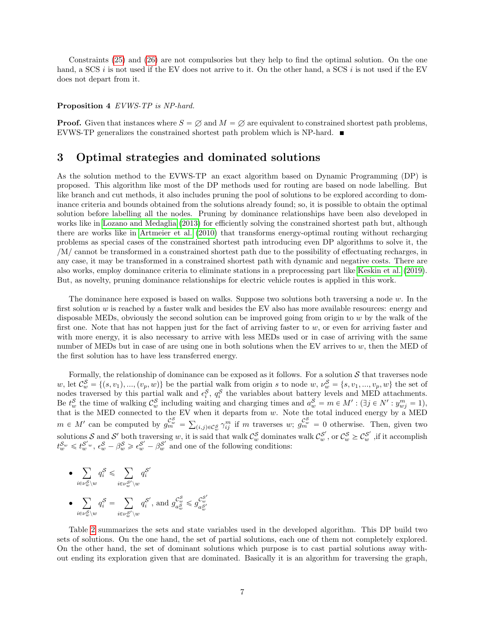Constraints [\(25\)](#page-4-0) and [\(26\)](#page-4-0) are not compulsories but they help to find the optimal solution. On the one hand, a SCS i is not used if the EV does not arrive to it. On the other hand, a SCS i is not used if the EV does not depart from it.

#### Proposition 4 EVWS-TP is NP-hard.

**Proof.** Given that instances where  $S = \emptyset$  and  $M = \emptyset$  are equivalent to constrained shortest path problems, EVWS-TP generalizes the constrained shortest path problem which is NP-hard.  $\blacksquare$ 

### 3 Optimal strategies and dominated solutions

As the solution method to the EVWS-TP an exact algorithm based on Dynamic Programming (DP) is proposed. This algorithm like most of the DP methods used for routing are based on node labelling. But like branch and cut methods, it also includes pruning the pool of solutions to be explored according to dominance criteria and bounds obtained from the solutions already found; so, it is possible to obtain the optimal solution before labelling all the nodes. Pruning by dominance relationships have been also developed in works like in [Lozano and Medaglia](#page-10-11) [\(2013\)](#page-10-11) for efficiently solving the constrained shortest path but, although there are works like in [Artmeier et al.](#page-10-9) [\(2010\)](#page-10-9) that transforms energy-optimal routing without recharging problems as special cases of the constrained shortest path introducing even DP algorithms to solve it, the /M/ cannot be transformed in a constrained shortest path due to the possibility of effectuating recharges, in any case, it may be transformed in a constrained shortest path with dynamic and negative costs. There are also works, employ dominance criteria to eliminate stations in a preprocessing part like [Keskin et al.](#page-10-8) [\(2019\)](#page-10-8). But, as novelty, pruning dominance relationships for electric vehicle routes is applied in this work.

The dominance here exposed is based on walks. Suppose two solutions both traversing a node  $w$ . In the first solution w is reached by a faster walk and besides the EV also has more available resources: energy and disposable MEDs, obviously the second solution can be improved going from origin to w by the walk of the first one. Note that has not happen just for the fact of arriving faster to  $w$ , or even for arriving faster and with more energy, it is also necessary to arrive with less MEDs used or in case of arriving with the same number of MEDs but in case of are using one in both solutions when the EV arrives to  $w$ , then the MED of the first solution has to have less transferred energy.

Formally, the relationship of dominance can be exposed as it follows. For a solution  $S$  that traverses node w, let  $\mathcal{C}_w^{\mathcal{S}} = \{(s, v_1), ..., (v_p, w)\}\$ be the partial walk from origin s to node w,  $v_w^{\mathcal{S}} = \{s, v_1, ..., v_p, w\}$  the set of nodes traversed by this partial walk and  $\epsilon_i^S$ ,  $q_i^S$  the variables about battery levels and MED attachments. Be  $t_w^{\mathcal{S}}$  the time of walking  $\mathcal{C}_w^{\mathcal{S}}$  including waiting and charging times and  $a_w^{\mathcal{S}} = m \in M' : (\exists j \in N' : y_{wj}^m = 1),$ that is the MED connected to the EV when it departs from  $w$ . Note the total induced energy by a MED  $m \in M'$  can be computed by  $g_m^{\mathcal{C}^{\mathcal{S}}_m}$ ř  $(i,j) \in \mathcal{C}_{w}^S$   $\gamma_{ij}^m$  if m traverses w;  $g_m^{\mathcal{C}_{w}^S} = 0$  otherwise. Then, given two solutions S and S' both traversing w, it is said that walk  $\mathcal{C}_{w}^{\mathcal{S}}$  dominates walk  $\mathcal{C}_{w}^{\mathcal{S}'}$ , or  $\mathcal{C}_{w}^{\mathcal{S}} \geq \mathcal{C}_{w}^{\mathcal{S}'}$ , if it accomplish  $t_w^{\mathcal{S}_w} \leq t_w^{\mathcal{S'}_w}, \ \epsilon_w^{\mathcal{S}} - \beta_w^{\mathcal{S}} \geq \epsilon_w^{\mathcal{S'}} - \beta_w^{\mathcal{S'}}$  and one of the following conditions:

$$
\begin{aligned} \bullet \quad & \sum_{i \in \nu_w^S \backslash w} q_i^{\mathcal{S}} \leqslant \sum_{i \in \nu_w^{S'} \backslash w} q_i^{\mathcal{S}'} \\ \bullet \quad & \sum_{i \in \nu_w^S \backslash w} q_i^{\mathcal{S}} = \sum_{i \in \nu_w^{S'} \backslash w} q_i^{\mathcal{S}'}, \: \text{and} \: g_{a_w^S}^{\mathcal{C}_w^S} \leqslant g_{a_w^{S'}}^{\mathcal{C}_w^{S'}} \end{aligned}
$$

Table [2](#page-7-0) summarizes the sets and state variables used in the developed algorithm. This DP build two sets of solutions. On the one hand, the set of partial solutions, each one of them not completely explored. On the other hand, the set of dominant solutions which purpose is to cast partial solutions away without ending its exploration given that are dominated. Basically it is an algorithm for traversing the graph,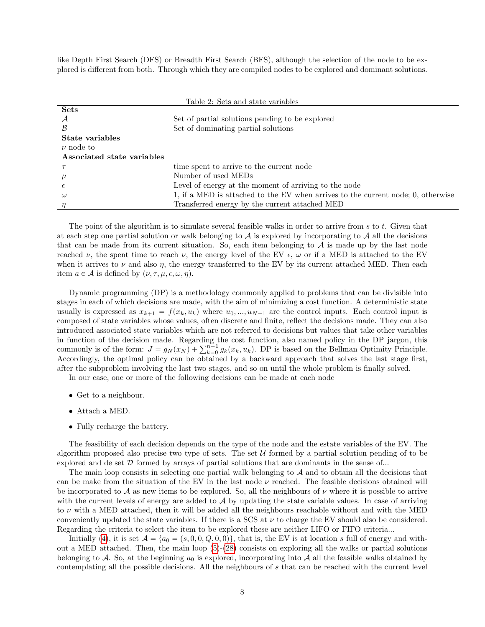like Depth First Search (DFS) or Breadth First Search (BFS), although the selection of the node to be explored is different from both. Through which they are compiled nodes to be explored and dominant solutions.

<span id="page-7-0"></span>

| Table 2: Sets and state variables |                                                                                  |  |  |  |  |  |
|-----------------------------------|----------------------------------------------------------------------------------|--|--|--|--|--|
| <b>Sets</b>                       |                                                                                  |  |  |  |  |  |
| А                                 | Set of partial solutions pending to be explored                                  |  |  |  |  |  |
| B                                 | Set of dominating partial solutions                                              |  |  |  |  |  |
| State variables                   |                                                                                  |  |  |  |  |  |
| $\nu$ node to                     |                                                                                  |  |  |  |  |  |
| Associated state variables        |                                                                                  |  |  |  |  |  |
|                                   | time spent to arrive to the current node                                         |  |  |  |  |  |
| $\mu$                             | Number of used MEDs                                                              |  |  |  |  |  |
|                                   | Level of energy at the moment of arriving to the node                            |  |  |  |  |  |
| $\omega$                          | 1, if a MED is attached to the EV when arrives to the current node; 0, otherwise |  |  |  |  |  |
| $\eta$                            | Transferred energy by the current attached MED                                   |  |  |  |  |  |

The point of the algorithm is to simulate several feasible walks in order to arrive from  $s$  to  $t$ . Given that at each step one partial solution or walk belonging to  $A$  is explored by incorporating to  $A$  all the decisions that can be made from its current situation. So, each item belonging to  $A$  is made up by the last node reached  $\nu$ , the spent time to reach  $\nu$ , the energy level of the EV  $\epsilon$ ,  $\omega$  or if a MED is attached to the EV when it arrives to  $\nu$  and also  $\eta$ , the energy transferred to the EV by its current attached MED. Then each item  $a \in \mathcal{A}$  is defined by  $(\nu, \tau, \mu, \epsilon, \omega, \eta)$ .

Dynamic programming (DP) is a methodology commonly applied to problems that can be divisible into stages in each of which decisions are made, with the aim of minimizing a cost function. A deterministic state usually is expressed as  $x_{k+1} = f(x_k, u_k)$  where  $u_0, ..., u_{N-1}$  are the control inputs. Each control input is composed of state variables whose values, often discrete and finite, reflect the decisions made. They can also introduced associated state variables which are not referred to decisions but values that take other variables in function of the decision made. Regarding the cost function, also named policy in the DP jargon, this in function of the decision made. Regarding the cost function, also named policy in the DP jargon, this commonly is of the form:  $J = g_N(x_N) + \sum_{k=0}^{n-1} g_k(x_k, u_k)$ . DP is based on the Bellman Optimity Principle. Accordingly, the optimal policy can be obtained by a backward approach that solves the last stage first, after the subproblem involving the last two stages, and so on until the whole problem is finally solved.

In our case, one or more of the following decisions can be made at each node

- Get to a neighbour.
- Attach a MED.
- Fully recharge the battery.

The feasibility of each decision depends on the type of the node and the estate variables of the EV. The algorithm proposed also precise two type of sets. The set  $U$  formed by a partial solution pending of to be explored and de set  $D$  formed by arrays of partial solutions that are dominants in the sense of...

The main loop consists in selecting one partial walk belonging to  $A$  and to obtain all the decisions that can be make from the situation of the EV in the last node  $\nu$  reached. The feasible decisions obtained will be incorporated to A as new items to be explored. So, all the neighbours of  $\nu$  where it is possible to arrive with the current levels of energy are added to  $A$  by updating the state variable values. In case of arriving to  $\nu$  with a MED attached, then it will be added all the neighbours reachable without and with the MED conveniently updated the state variables. If there is a SCS at  $\nu$  to charge the EV should also be considered. Regarding the criteria to select the item to be explored these are neither LIFO or FIFO criteria...

Initially [\(4\)](#page-8-0), it is set  $\mathcal{A} = \{a_0 = (s, 0, 0, Q, 0, 0)\}\,$ , that is, the EV is at location s full of energy and without a MED attached. Then, the main loop  $(5)-(28)$  $(5)-(28)$  $(5)-(28)$  consists on exploring all the walks or partial solutions belonging to A. So, at the beginning  $a_0$  is explored, incorporating into A all the feasible walks obtained by contemplating all the possible decisions. All the neighbours of s that can be reached with the current level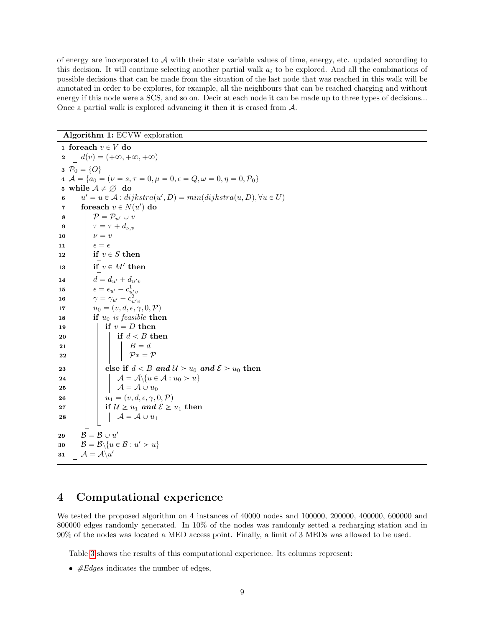of energy are incorporated to  $A$  with their state variable values of time, energy, etc. updated according to this decision. It will continue selecting another partial walk  $a_i$  to be explored. And all the combinations of possible decisions that can be made from the situation of the last node that was reached in this walk will be annotated in order to be explores, for example, all the neighbours that can be reached charging and without energy if this node were a SCS, and so on. Decir at each node it can be made up to three types of decisions... Once a partial walk is explored advancing it then it is erased from A.

### Algorithm 1: ECVW exploration

<span id="page-8-1"></span><span id="page-8-0"></span>1 foreach  $v \in V$  do 2  $d(v) = (+\infty, +\infty, +\infty)$ 3  $P_0 = \{O\}$ 4  $A = \{a_0 = (\nu = s, \tau = 0, \mu = 0, \epsilon = Q, \omega = 0, \eta = 0, \mathcal{P}_0\}$ 5 while  $A \neq \emptyset$  do 6  $u' = u \in \mathcal{A}$ : dijkstra $(u', D) = min(dijkstra(u, D), \forall u \in U)$  $\tau$  | foreach  $v \in N(u')$  do  $\mathbf{8}$  |  $\mathcal{P} = \mathcal{P}_{u'} \cup v$ 9  $\pi = \tau + d_{\nu,v}$ 10  $v = v$ 11  $\vert \vert \epsilon = \epsilon$ 12 if  $v \in S$  then  $\begin{array}{c|c} \n 13 & \text{if } v \in M' \text{ then} \n \end{array}$ 14  $d = d_{u'} + d_{u'v}$ 15  $\epsilon = \epsilon_{u'} - c_{u'v}^1$ 16  $\gamma = \gamma_{u'} - c_{u'v}^2$ 17  $u_0 = (v, d, \epsilon, \gamma, 0, \mathcal{P})$ 18 **if**  $u_0$  is feasible then 19 | | if  $v = D$  then  $20$  if  $d < B$  then 21  $\vert$   $\vert$   $\vert$   $\vert$   $\vert$   $\vert$   $B=d$ 22 | | | |  $\mathcal{P}^* = \mathcal{P}$ 23 else if  $d < B$  and  $\mathcal{U} \geq u_0$  and  $\mathcal{E} \geq u_0$  then 24  $\vert \vert \vert \vert \mathcal{A} = \mathcal{A} \setminus \{u \in \mathcal{A} : u_0 > u\}$ 25  $\vert \vert \vert \vert \mathcal{A} = \mathcal{A} \cup u_0$ 26  $u_1 = (v, d, \epsilon, \gamma, 0, \mathcal{P})$ 27 if  $\mathcal{U} \geq u_1$  and  $\mathcal{E} \geq u_1$  then 28  $\vert \vert \vert \vert \mathcal{A} = \mathcal{A} \cup u_1$  $\begin{array}{|c|c|c|}\hline \textbf{29} & \textbf{\textit{B}}=\textbf{\textit{B}}\cup\textit{u}'\hline \end{array}$  $\begin{aligned} \mathbf{30} \quad | \quad \mathcal{B} = \mathcal{B} \backslash \{u \in \mathcal{B} : u' > u\} \end{aligned}$  $\mathbf{31} \quad | \quad \mathcal{A} = \mathcal{A} \backslash u'$ 

## <span id="page-8-2"></span>4 Computational experience

We tested the proposed algorithm on 4 instances of 40000 nodes and 100000, 200000, 400000, 600000 and 800000 edges randomly generated. In 10% of the nodes was randomly setted a recharging station and in 90% of the nodes was located a MED access point. Finally, a limit of 3 MEDs was allowed to be used.

Table [3](#page-9-0) shows the results of this computational experience. Its columns represent:

•  $#Edges$  indicates the number of edges,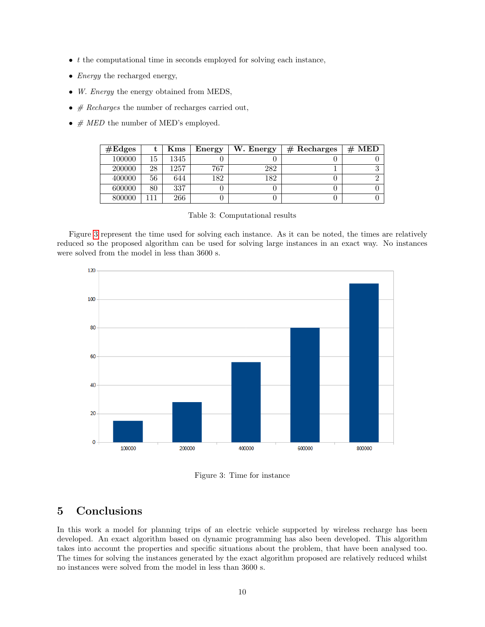- $\bullet$  t the computational time in seconds employed for solving each instance,
- *Energy* the recharged energy,
- W. Energy the energy obtained from MEDS,
- $\#$  Recharges the number of recharges carried out,
- $# MED$  the number of MED's employed.

| $\#\text{Edges}$ |    | $\rm Kms$ | Energy | W. Energy | $#$ Recharges | # MED |
|------------------|----|-----------|--------|-----------|---------------|-------|
| 100000           | 15 | 1345      |        |           |               |       |
| 200000           | 28 | 1257      | 767    | 282       |               |       |
| 400000           | 56 | 644       | 182    | 182       |               |       |
| 600000           | 80 | 337       |        |           |               |       |
| 800000           |    | 266       |        |           |               |       |

<span id="page-9-0"></span>Table 3: Computational results

Figure [3](#page-9-1) represent the time used for solving each instance. As it can be noted, the times are relatively reduced so the proposed algorithm can be used for solving large instances in an exact way. No instances were solved from the model in less than 3600 s.



<span id="page-9-1"></span>Figure 3: Time for instance

# 5 Conclusions

In this work a model for planning trips of an electric vehicle supported by wireless recharge has been developed. An exact algorithm based on dynamic programming has also been developed. This algorithm takes into account the properties and specific situations about the problem, that have been analysed too. The times for solving the instances generated by the exact algorithm proposed are relatively reduced whilst no instances were solved from the model in less than 3600 s.